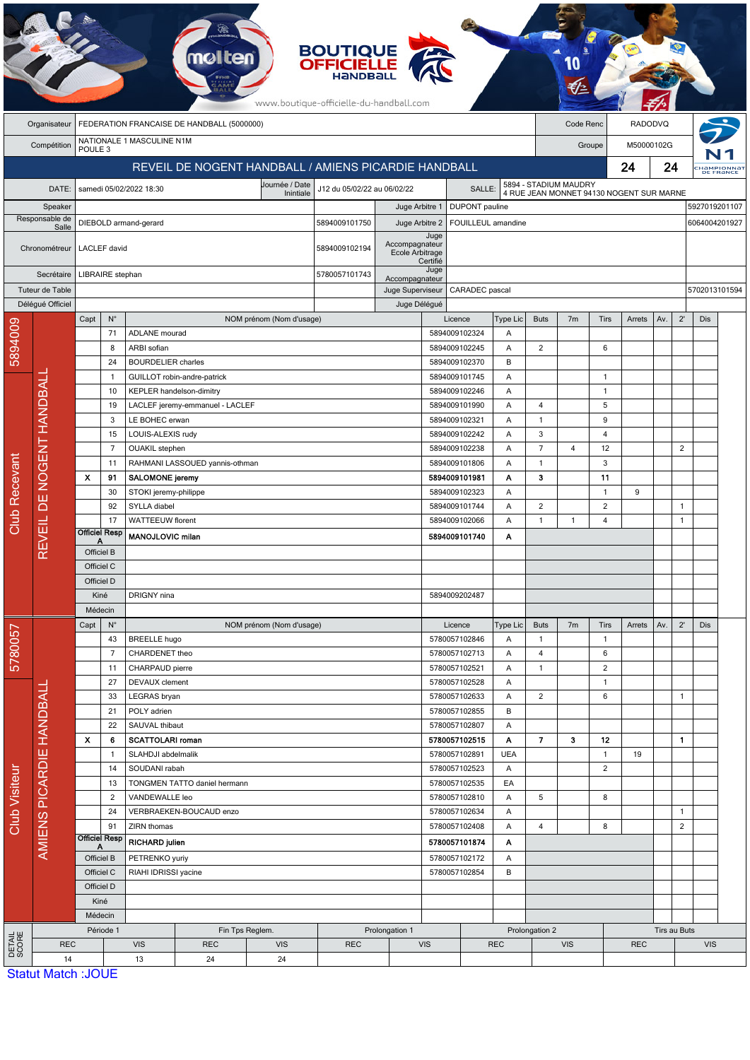|                      |                                       |                           |                                                                         |                                        |                                                             |                          | <b>BOUTIQUE</b><br><b>OFFICIELLE</b><br>www.boutique-officielle-du-handball.com |                                   |                  |                                |            |                             |                                                                                                                                                                                                                                                                |                |                |              |                |               |                         |
|----------------------|---------------------------------------|---------------------------|-------------------------------------------------------------------------|----------------------------------------|-------------------------------------------------------------|--------------------------|---------------------------------------------------------------------------------|-----------------------------------|------------------|--------------------------------|------------|-----------------------------|----------------------------------------------------------------------------------------------------------------------------------------------------------------------------------------------------------------------------------------------------------------|----------------|----------------|--------------|----------------|---------------|-------------------------|
|                      | Organisateur                          |                           |                                                                         |                                        | FEDERATION FRANCAISE DE HANDBALL (5000000)                  |                          |                                                                                 |                                   |                  |                                |            |                             |                                                                                                                                                                                                                                                                |                | <b>RADODVQ</b> |              |                |               |                         |
|                      | Compétition                           | POULE <sub>3</sub>        |                                                                         | NATIONALE 1 MASCULINE N1M              |                                                             |                          |                                                                                 |                                   |                  |                                |            |                             |                                                                                                                                                                                                                                                                |                | M50000102G     |              |                |               |                         |
|                      |                                       |                           |                                                                         |                                        | REVEIL DE NOGENT HANDBALL / AMIENS PICARDIE HANDBALL        |                          |                                                                                 |                                   |                  |                                |            |                             |                                                                                                                                                                                                                                                                |                |                | 24           |                |               | HAMPIONNAT<br>DE FRANCE |
|                      | DATE:                                 |                           |                                                                         | samedi 05/02/2022 18:30                |                                                             | Journée / Date           | J12 du 05/02/22 au 06/02/22                                                     |                                   |                  | SALLE:                         |            |                             |                                                                                                                                                                                                                                                                |                |                |              |                |               |                         |
|                      | Speaker                               |                           |                                                                         |                                        |                                                             | Inintiale                |                                                                                 | Juge Arbitre 1                    |                  | <b>DUPONT</b> pauline          |            |                             |                                                                                                                                                                                                                                                                |                |                |              |                |               | 5927019201107           |
|                      | Responsable de<br>Salle               |                           |                                                                         | DIEBOLD armand-gerard                  |                                                             |                          | 5894009101750                                                                   | Juge Arbitre 2                    |                  | FOUILLEUL amandine             |            |                             |                                                                                                                                                                                                                                                                |                |                |              |                | 6064004201927 |                         |
|                      | Chronométreur                         |                           | <b>LACLEF</b> david                                                     |                                        |                                                             |                          | 5894009102194                                                                   | Accompagnateur<br>Ecole Arbitrage | Juge<br>Certifié |                                |            |                             |                                                                                                                                                                                                                                                                |                |                |              |                |               |                         |
|                      | Secrétaire                            |                           | LIBRAIRE stephan                                                        |                                        |                                                             |                          | 5780057101743                                                                   | Accompagnateur                    | Juge             |                                |            |                             |                                                                                                                                                                                                                                                                |                |                |              |                |               |                         |
|                      | Tuteur de Table                       |                           |                                                                         |                                        |                                                             |                          |                                                                                 | Juge Superviseur                  |                  | CARADEC pascal                 |            |                             |                                                                                                                                                                                                                                                                |                |                |              |                |               | 5702013101594           |
|                      | Déléqué Officiel                      | Capt                      | $N^{\circ}$                                                             |                                        |                                                             | NOM prénom (Nom d'usage) |                                                                                 | Juge Délégué                      |                  | Licence                        | Type Lic   | <b>Buts</b>                 | 7 <sub>m</sub>                                                                                                                                                                                                                                                 | Tirs           | Arrets         | Av.          | $2^{\prime}$   | Dis           |                         |
| 5894009              |                                       |                           | 71                                                                      | <b>ADLANE</b> mourad                   |                                                             |                          |                                                                                 |                                   |                  | 5894009102324                  | Α          |                             |                                                                                                                                                                                                                                                                |                |                |              |                |               |                         |
|                      |                                       |                           | 8                                                                       | ARBI sofian                            |                                                             |                          |                                                                                 |                                   |                  | 5894009102245                  | Α          | $\overline{c}$              |                                                                                                                                                                                                                                                                | 6              |                |              |                |               |                         |
|                      |                                       |                           | 24                                                                      | <b>BOURDELIER</b> charles              |                                                             |                          |                                                                                 |                                   |                  | 5894009102370                  | B          |                             |                                                                                                                                                                                                                                                                |                |                |              |                |               |                         |
|                      |                                       |                           | $\mathbf{1}$                                                            |                                        | GUILLOT robin-andre-patrick                                 |                          |                                                                                 |                                   |                  | 5894009101745                  | Α          |                             |                                                                                                                                                                                                                                                                | $\mathbf{1}$   |                |              |                |               |                         |
| DE NOGENT HANDBALI   |                                       |                           | 10<br>19                                                                |                                        | KEPLER handelson-dimitry<br>LACLEF jeremy-emmanuel - LACLEF |                          |                                                                                 |                                   |                  | 5894009102246<br>5894009101990 | Α<br>Α     | 4                           |                                                                                                                                                                                                                                                                |                |                |              |                |               |                         |
|                      |                                       |                           | 3                                                                       | LE BOHEC erwan                         |                                                             |                          |                                                                                 |                                   |                  | 5894009102321                  | Α          | $\mathbf{1}$                |                                                                                                                                                                                                                                                                |                |                |              |                |               |                         |
|                      |                                       |                           | 15                                                                      | LOUIS-ALEXIS rudy                      |                                                             |                          |                                                                                 |                                   |                  | 5894009102242                  | Α          | 3                           |                                                                                                                                                                                                                                                                | 4              |                |              |                |               |                         |
|                      |                                       |                           | $\overline{7}$                                                          | <b>OUAKIL</b> stephen                  |                                                             |                          |                                                                                 |                                   |                  | 5894009102238                  | A          | $\overline{7}$              | 4                                                                                                                                                                                                                                                              | 12             |                |              | $\overline{2}$ |               |                         |
|                      |                                       |                           | 11                                                                      |                                        | RAHMANI LASSOUED yannis-othman                              |                          |                                                                                 |                                   |                  | 5894009101806                  | Α          | $\mathbf{1}$                |                                                                                                                                                                                                                                                                | 3              |                |              |                |               |                         |
|                      |                                       | $\boldsymbol{\mathsf{x}}$ | 91                                                                      | <b>SALOMONE jeremy</b>                 |                                                             |                          |                                                                                 |                                   |                  | 5894009101981                  | Α          | 3                           |                                                                                                                                                                                                                                                                | 11             |                |              |                |               |                         |
|                      |                                       |                           | 30                                                                      | STOKI jeremy-philippe                  |                                                             |                          |                                                                                 |                                   |                  | 5894009102323                  | Α          |                             |                                                                                                                                                                                                                                                                | $\mathbf{1}$   | 9              |              |                |               |                         |
| <b>Club Recevant</b> |                                       |                           | 92                                                                      | SYLLA diabel                           |                                                             |                          |                                                                                 |                                   |                  | 5894009101744<br>5894009102066 | Α          | $\overline{c}$              |                                                                                                                                                                                                                                                                |                |                |              | $\mathbf{1}$   |               |                         |
|                      |                                       |                           | 17<br><b>Officiel Resp</b>                                              | WATTEEUW florent<br>MANOJLOVIC milan   |                                                             |                          |                                                                                 |                                   |                  | 5894009101740                  | A<br>Α     | 1                           |                                                                                                                                                                                                                                                                |                |                |              | 1              |               |                         |
|                      | REVEIL                                | А<br>Officiel B           |                                                                         |                                        |                                                             |                          |                                                                                 |                                   |                  |                                |            |                             |                                                                                                                                                                                                                                                                |                |                |              |                |               |                         |
|                      |                                       |                           | Officiel C                                                              |                                        |                                                             |                          |                                                                                 |                                   |                  |                                |            |                             |                                                                                                                                                                                                                                                                |                |                |              |                |               |                         |
|                      |                                       | Officiel D                |                                                                         |                                        |                                                             |                          |                                                                                 |                                   |                  |                                |            |                             |                                                                                                                                                                                                                                                                |                |                |              |                |               |                         |
|                      |                                       |                           | Kiné                                                                    | DRIGNY nina                            |                                                             |                          |                                                                                 |                                   |                  | 5894009202487                  |            |                             |                                                                                                                                                                                                                                                                |                |                |              |                |               |                         |
|                      |                                       |                           | Médecin                                                                 |                                        |                                                             |                          |                                                                                 |                                   |                  |                                |            |                             |                                                                                                                                                                                                                                                                |                |                |              |                |               |                         |
|                      |                                       | Capt                      | $N^{\circ}$                                                             |                                        |                                                             | NOM prénom (Nom d'usage) |                                                                                 |                                   |                  | Licence<br>5780057102846       | Type Lic   | <b>Buts</b><br>$\mathbf{1}$ |                                                                                                                                                                                                                                                                |                | Arrets         | Av.          | $2^{\prime}$   | Dis           |                         |
| 5780057              |                                       |                           | 43<br>$\overline{7}$                                                    | <b>BREELLE</b> hugo<br>CHARDENET theo  |                                                             |                          |                                                                                 |                                   |                  | 5780057102713                  | Α<br>Α     | 4                           |                                                                                                                                                                                                                                                                |                |                |              |                |               |                         |
|                      |                                       |                           | 11                                                                      | CHARPAUD pierre                        |                                                             |                          |                                                                                 |                                   |                  | 5780057102521                  | A          | $\mathbf{1}$                |                                                                                                                                                                                                                                                                | $\overline{2}$ |                |              |                |               |                         |
|                      |                                       |                           | 27                                                                      | <b>DEVAUX</b> clement                  |                                                             |                          |                                                                                 |                                   |                  | 5780057102528                  | Α          |                             |                                                                                                                                                                                                                                                                | $\mathbf{1}$   |                |              |                |               |                         |
|                      |                                       |                           | 33                                                                      | LEGRAS bryan                           |                                                             |                          |                                                                                 |                                   |                  | 5780057102633                  | Α          | $\overline{2}$              |                                                                                                                                                                                                                                                                | 6              |                |              | 1              |               |                         |
|                      |                                       |                           | 21                                                                      | POLY adrien                            |                                                             |                          |                                                                                 |                                   |                  | 5780057102855                  | B          |                             |                                                                                                                                                                                                                                                                |                |                |              |                |               |                         |
|                      |                                       |                           | 22                                                                      | SAUVAL thibaut                         |                                                             |                          |                                                                                 |                                   |                  | 5780057102807<br>5780057102515 | Α<br>Α     | $\overline{7}$              |                                                                                                                                                                                                                                                                |                |                |              | 1              |               |                         |
|                      |                                       |                           | x<br><b>SCATTOLARI roman</b><br>6<br>SLAHDJI abdelmalik<br>$\mathbf{1}$ |                                        |                                                             |                          |                                                                                 | 5780057102891                     | <b>UEA</b>       |                                |            |                             | 19                                                                                                                                                                                                                                                             |                |                |              |                |               |                         |
| Club Visiteur        | AMIENS PICARDIE HANDBALI              |                           | 14<br>SOUDANI rabah                                                     |                                        |                                                             |                          |                                                                                 | 5780057102523                     |                  | Α                              |            |                             | $\overline{2}$                                                                                                                                                                                                                                                 |                |                |              |                |               |                         |
|                      |                                       |                           | 13                                                                      |                                        | TONGMEN TATTO daniel hermann                                |                          |                                                                                 |                                   |                  | 5780057102535                  | EA         |                             |                                                                                                                                                                                                                                                                |                |                |              |                |               |                         |
|                      |                                       |                           | $\overline{2}$                                                          | VANDEWALLE leo                         |                                                             |                          |                                                                                 |                                   |                  | 5780057102810                  | Α          | 5                           |                                                                                                                                                                                                                                                                | 8              |                |              |                |               |                         |
|                      |                                       |                           | 24                                                                      |                                        | VERBRAEKEN-BOUCAUD enzo                                     |                          |                                                                                 |                                   |                  | 5780057102634                  | Α          |                             |                                                                                                                                                                                                                                                                |                |                |              | $\mathbf{1}$   |               |                         |
|                      |                                       | <b>Officiel Resp</b>      | 91                                                                      | ZIRN thomas                            |                                                             |                          |                                                                                 |                                   |                  | 5780057102408                  | A          | 4                           |                                                                                                                                                                                                                                                                |                |                |              | $\overline{2}$ |               |                         |
|                      |                                       |                           | A                                                                       | RICHARD julien                         |                                                             |                          |                                                                                 |                                   |                  | 5780057101874                  | Α          |                             | Code Renc<br>Groupe<br>24<br>5894 - STADIUM MAUDRY<br>4 RUE JEAN MONNET 94130 NOGENT SUR MARNE<br>$\mathbf{1}$<br>5<br>9<br>$\overline{2}$<br>$\overline{4}$<br>1<br>Tirs<br>7 <sub>m</sub><br>$\mathbf{1}$<br>6<br>3<br>12<br>$\mathbf{1}$<br>8<br><b>VIS</b> |                |                |              |                |               |                         |
|                      |                                       |                           | Officiel B<br>Officiel C                                                | PETRENKO yuriy<br>RIAHI IDRISSI yacine |                                                             |                          |                                                                                 |                                   |                  | 5780057102172<br>5780057102854 | Α<br>B     |                             |                                                                                                                                                                                                                                                                |                |                |              |                |               |                         |
|                      |                                       |                           | Officiel D                                                              |                                        |                                                             |                          |                                                                                 |                                   |                  |                                |            |                             |                                                                                                                                                                                                                                                                |                |                |              |                |               |                         |
|                      |                                       | Kiné                      |                                                                         |                                        |                                                             |                          |                                                                                 |                                   |                  |                                |            |                             |                                                                                                                                                                                                                                                                |                |                |              |                |               |                         |
|                      |                                       |                           | Médecin                                                                 |                                        |                                                             |                          |                                                                                 |                                   |                  |                                |            |                             |                                                                                                                                                                                                                                                                |                |                |              |                |               |                         |
|                      |                                       |                           | Période 1                                                               |                                        | Fin Tps Reglem.                                             |                          |                                                                                 | Prolongation 1                    |                  |                                |            | Prolongation 2              |                                                                                                                                                                                                                                                                |                |                | Tirs au Buts |                |               |                         |
| DETAIL<br>SCORE      | <b>REC</b><br>14                      |                           |                                                                         | <b>VIS</b><br>13                       | <b>REC</b><br>24                                            | <b>VIS</b><br>24         | <b>REC</b>                                                                      |                                   | <b>VIS</b>       |                                | <b>REC</b> |                             |                                                                                                                                                                                                                                                                |                | <b>REC</b>     |              |                | <b>VIS</b>    |                         |
|                      | $Q_{\text{total}}$ Motob $\cdot$ IOHE |                           |                                                                         |                                        |                                                             |                          |                                                                                 |                                   |                  |                                |            |                             |                                                                                                                                                                                                                                                                |                |                |              |                |               |                         |

Statut Match :JOUE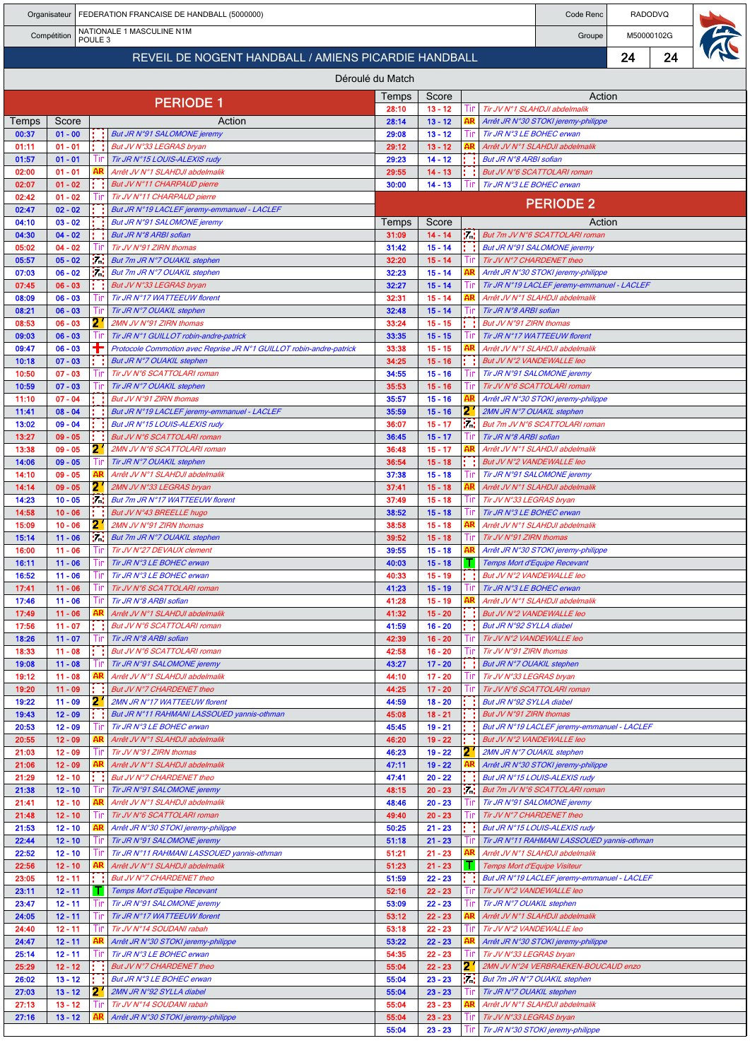|                |                        |                    | Organisateur   FEDERATION FRANCAISE DE HANDBALL (5000000)                                        |                |                        |     |                                                                             | Code Renc        |            | <b>RADODVQ</b> |  |
|----------------|------------------------|--------------------|--------------------------------------------------------------------------------------------------|----------------|------------------------|-----|-----------------------------------------------------------------------------|------------------|------------|----------------|--|
|                | Compétition            | POULE <sub>3</sub> | NATIONALE 1 MASCULINE N1M                                                                        |                |                        |     |                                                                             | Groupe           | M50000102G |                |  |
|                |                        |                    | REVEIL DE NOGENT HANDBALL / AMIENS PICARDIE HANDBALL                                             |                |                        |     |                                                                             |                  | 24         | 24             |  |
|                |                        |                    | Déroulé du Match                                                                                 |                |                        |     |                                                                             |                  |            |                |  |
|                |                        |                    |                                                                                                  | Temps          | Score                  |     |                                                                             | Action           |            |                |  |
|                |                        |                    | <b>PERIODE 1</b>                                                                                 | 28:10          | $13 - 12$              | Tin | Tir JV N°1 SLAHDJI abdelmalik                                               |                  |            |                |  |
| Temps<br>00:37 | Score<br>$01 - 00$     | : :                | Action<br>But JR N°91 SALOMONE jeremy                                                            | 28:14<br>29:08 | $13 - 12$<br>$13 - 12$ |     | Arrêt JR N°30 STOKI jeremy-philippe<br>Tir JR N°3 LE BOHEC erwan            |                  |            |                |  |
| 01:11          | $01 - 01$              |                    | But JV N°33 LEGRAS bryan                                                                         | 29:12          | $13 - 12$              |     | Arrêt JV N°1 SLAHDJI abdelmalik                                             |                  |            |                |  |
| 01:57<br>02:00 | $01 - 01$<br>$01 - 01$ |                    | Tir JR N°15 LOUIS-ALEXIS rudy<br>Arrêt JV N°1 SLAHDJI abdelmalik                                 | 29:23<br>29:55 | $14 - 12$<br>$14 - 13$ |     | But JR N°8 ARBI sofian<br>But JV N°6 SCATTOLARI roman                       |                  |            |                |  |
| 02:07          | $01 - 02$              |                    | But JV N°11 CHARPAUD pierre                                                                      | 30:00          | $14 - 13$              |     | Tir JR N°3 LE BOHEC erwan                                                   |                  |            |                |  |
| 02:42          | $01 - 02$              |                    | Tir JV N°11 CHARPAUD pierre                                                                      |                |                        |     |                                                                             | <b>PERIODE 2</b> |            |                |  |
| 02:47<br>04:10 | $02 - 02$<br>$03 - 02$ |                    | But JR N°19 LACLEF jeremy-emmanuel - LACLEF<br>But JR N°91 SALOMONE jeremy                       | Temps          | Score                  |     |                                                                             | Action           |            |                |  |
| 04:30          | $04 - 02$              |                    | But JR N°8 ARBI sofian                                                                           | 31:09          | $14 - 14$              |     | <b>Fig.</b> But 7m JV N°6 SCATTOLARI roman                                  |                  |            |                |  |
| 05:02<br>05:57 | $04 - 02$<br>$05 - 02$ | i.                 | Tir JV N°91 ZIRN thomas<br>But 7m JR N°7 OUAKIL stephen                                          | 31:42<br>32:20 | $15 - 14$<br>$15 - 14$ | Шr  | But JR N°91 SALOMONE jeremy<br>Tir JV N°7 CHARDENET theo                    |                  |            |                |  |
| 07:03          | $06 - 02$              | 54                 | But 7m JR N°7 OUAKIL stephen                                                                     | 32:23          | $15 - 14$              |     | Arrêt JR N°30 STOKI jeremy-philippe                                         |                  |            |                |  |
| 07:45          | $06 - 03$              |                    | But JV N°33 LEGRAS bryan                                                                         | 32:27          | $15 - 14$              |     | Tir JR N°19 LACLEF jeremy-emmanuel - LACLEF                                 |                  |            |                |  |
| 08:09<br>08:21 | $06 - 03$<br>$06 - 03$ |                    | Tir JR N°17 WATTEEUW florent<br>Tir JR N°7 OUAKIL stephen                                        | 32:31<br>32:48 | $15 - 14$<br>$15 - 14$ |     | Arrêt JV N°1 SLAHDJI abdelmalik<br>Tir JR N°8 ARBI sofian                   |                  |            |                |  |
| 08:53          | $06 - 03$              | 2                  | 2MN JV N°91 ZIRN thomas                                                                          | 33:24          | $15 - 15$              |     | But JV N°91 ZIRN thomas                                                     |                  |            |                |  |
| 09:03          | $06 - 03$              |                    | Tir JR N°1 GUILLOT robin-andre-patrick                                                           | 33:35          | $15 - 15$              |     | Tir JR N°17 WATTEEUW florent                                                |                  |            |                |  |
| 09:47<br>10:18 | $06 - 03$<br>$07 - 03$ |                    | Protocole Commotion avec Reprise JR N°1 GUILLOT robin-andre-patrick<br>But JR N°7 OUAKIL stephen | 33:38<br>34:25 | $15 - 15$<br>$15 - 16$ |     | Arrêt JV N°1 SLAHDJI abdelmalik<br>But JV N°2 VANDEWALLE leo                |                  |            |                |  |
| 10:50          | $07 - 03$              |                    | Tir JV N°6 SCATTOLARI roman                                                                      | 34:55          | $15 - 16$              |     | Tir JR N°91 SALOMONE jeremy                                                 |                  |            |                |  |
| 10:59          | $07 - 03$              |                    | Tir JR N°7 OUAKIL stephen                                                                        | 35:53          | $15 - 16$              |     | Tir JV N°6 SCATTOLARI roman                                                 |                  |            |                |  |
| 11:10<br>11:41 | $07 - 04$<br>$08 - 04$ |                    | But JV N°91 ZIRN thomas<br>But JR N°19 LACLEF jeremy-emmanuel - LACLEF                           | 35:57<br>35:59 | $15 - 16$<br>$15 - 16$ | 21  | Arrêt JR N°30 STOKI jeremy-philippe<br>2MN JR N°7 OUAKIL stephen            |                  |            |                |  |
| 13:02          | $09 - 04$              |                    | But JR N°15 LOUIS-ALEXIS rudy                                                                    | 36:07          | $15 - 17$              | 54  | But 7m JV N°6 SCATTOLARI roman                                              |                  |            |                |  |
| 13:27          | $09 - 05$              |                    | But JV N°6 SCATTOLARI roman                                                                      | 36:45          | $15 - 17$              |     | Tir JR N°8 ARBI sofian                                                      |                  |            |                |  |
| 13:38<br>14:06 | $09 - 05$<br>$09 - 05$ | 2.                 | 2MN JV N°6 SCATTOLARI roman<br>Tir JR N°7 OUAKIL stephen                                         | 36:48<br>36:54 | $15 - 17$<br>$15 - 18$ |     | Arrêt JV N°1 SLAHDJI abdelmalik<br>But JV N°2 VANDEWALLE leo                |                  |            |                |  |
| 14:10          | $09 - 05$              | AR                 | Arrêt JV N°1 SLAHDJI abdelmalik                                                                  | 37:38          | $15 - 18$              |     | Tir JR N°91 SALOMONE jeremy                                                 |                  |            |                |  |
| 14:14<br>14:23 | $09 - 05$<br>$10 - 05$ | 2                  | 2MN JV N°33 LEGRAS bryan<br>But 7m JR N°17 WATTEEUW florent                                      | 37:41<br>37:49 | $15 - 18$<br>$15 - 18$ |     | Arrêt JV N°1 SLAHDJI abdelmalik                                             |                  |            |                |  |
| 14:58          | $10 - 06$              | i di               | But JV N°43 BREELLE hugo                                                                         | 38:52          | $15 - 18$              |     | Tir JV N°33 LEGRAS bryan<br>Tir JR N°3 LE BOHEC erwan                       |                  |            |                |  |
| 15:09          | $10 - 06$              | 2.                 | 2MN JV N°91 ZIRN thomas                                                                          | 38:58          | $15 - 18$              |     | Arrêt JV N°1 SLAHDJI abdelmalik                                             |                  |            |                |  |
| 15:14<br>16:00 | $11 - 06$<br>$11 - 06$ | iz.                | But 7m JR N°7 OUAKIL stephen<br>Tir JV N°27 DEVAUX clement                                       | 39:52<br>39:55 | $15 - 18$<br>$15 - 18$ |     | Tir JV N°91 ZIRN thomas<br>Arrêt JR N°30 STOKI jeremy-philippe              |                  |            |                |  |
| 16:11          | $11 - 06$              |                    | Tir JR N°3 LE BOHEC erwan                                                                        | 40:03          | $15 - 18$              | т.  | Temps Mort d'Equipe Recevant                                                |                  |            |                |  |
| 16:52          | $11 - 06$              |                    | Tir JR N°3 LE BOHEC erwan                                                                        | 40:33          | $15 - 19$              |     | But JV N°2 VANDEWALLE leo                                                   |                  |            |                |  |
| 17:41<br>17:46 | $11 - 06$<br>$11 - 06$ |                    | Tir JV N°6 SCATTOLARI roman<br>Tir JR N°8 ARBI sofian                                            | 41:23<br>41:28 | $15 - 19$<br>$15 - 19$ |     | Tir JR N°3 LE BOHEC erwan<br>Arrêt JV N°1 SLAHDJI abdelmalik                |                  |            |                |  |
| 17:49          | $11 - 06$              |                    | Arrêt JV N°1 SLAHDJI abdelmalik                                                                  | 41:32          | $15 - 20$              |     | But JV N°2 VANDEWALLE leo                                                   |                  |            |                |  |
| 17:56          | $11 - 07$              |                    | But JV N°6 SCATTOLARI roman                                                                      | 41:59          | $16 - 20$              |     | But JR N°92 SYLLA diabel                                                    |                  |            |                |  |
| 18:26<br>18:33 | $11 - 07$<br>$11 - 08$ |                    | Tir JR N°8 ARBI sofian<br>But JV N°6 SCATTOLARI roman                                            | 42:39<br>42:58 | $16 - 20$<br>$16 - 20$ |     | Tir JV N°2 VANDEWALLE leo<br>Tir JV N°91 ZIRN thomas                        |                  |            |                |  |
| 19:08          | $11 - 08$              |                    | Tir JR N°91 SALOMONE jeremy                                                                      | 43:27          | $17 - 20$              |     | But JR N°7 OUAKIL stephen                                                   |                  |            |                |  |
| 19:12          | $11 - 08$              | AR                 | Arrêt JV N°1 SLAHDJI abdelmalik                                                                  | 44:10          | $17 - 20$              |     | Tir JV N°33 LEGRAS bryan                                                    |                  |            |                |  |
| 19:20<br>19:22 | $11 - 09$<br>$11 - 09$ | 21                 | But JV N°7 CHARDENET theo<br>2MN JR N°17 WATTEEUW florent                                        | 44:25<br>44:59 | $17 - 20$<br>$18 - 20$ |     | Tir JV N°6 SCATTOLARI roman<br>But JR N°92 SYLLA diabel                     |                  |            |                |  |
| 19:43          | $12 - 09$              |                    | But JR N°11 RAHMANI LASSOUED yannis-othman                                                       | 45:08          | $18 - 21$              |     | But JV N°91 ZIRN thomas                                                     |                  |            |                |  |
| 20:53          | $12 - 09$              |                    | Tir JR N°3 LE BOHEC erwan                                                                        | 45:45          | $19 - 21$              |     | But JR N°19 LACLEF jeremy-emmanuel - LACLEF                                 |                  |            |                |  |
| 20:55<br>21:03 | 12 - 09<br>$12 - 09$   | Ш                  | Arrêt JV N°1 SLAHDJI abdelmalik<br>Tir JV N°91 ZIRN thomas                                       | 46:20<br>46:23 | $19 - 22$<br>$19 - 22$ | 2.  | But JV N°2 VANDEWALLE leo<br>2MN JR N°7 OUAKIL stephen                      |                  |            |                |  |
| 21:06          | $12 - 09$              |                    | Arrêt JV N°1 SLAHDJI abdelmalik                                                                  | 47:11          | $19 - 22$              |     | Arrêt JR N°30 STOKI jeremy-philippe                                         |                  |            |                |  |
| 21:29<br>21:38 | $12 - 10$<br>$12 - 10$ |                    | But JV N°7 CHARDENET theo<br>Tir JR N°91 SALOMONE jeremy                                         | 47:41<br>48:15 | $20 - 22$<br>$20 - 23$ | 74  | But JR N°15 LOUIS-ALEXIS rudy<br>But 7m JV N°6 SCATTOLARI roman             |                  |            |                |  |
| 21:41          | $12 - 10$              |                    | Arrêt JV N°1 SLAHDJI abdelmalik                                                                  | 48:46          | $20 - 23$              |     | Tir JR N°91 SALOMONE jeremy                                                 |                  |            |                |  |
| 21:48          | $12 - 10$              |                    | Tir JV N°6 SCATTOLARI roman                                                                      | 49:40          | $20 - 23$              |     | Tir JV N°7 CHARDENET theo                                                   |                  |            |                |  |
| 21:53<br>22:44 | $12 - 10$<br>$12 - 10$ |                    | Arrêt JR N°30 STOKI jeremy-philippe<br>Tir JR N°91 SALOMONE jeremy                               | 50:25<br>51:18 | $21 - 23$<br>$21 - 23$ |     | But JR N°15 LOUIS-ALEXIS rudy<br>Tir JR N°11 RAHMANI LASSOUED yannis-othman |                  |            |                |  |
| 22:52          | $12 - 10$              |                    | Tir JR N°11 RAHMANI LASSOUED yannis-othman                                                       | 51:21          | $21 - 23$              |     | Arrêt JV N°1 SLAHDJI abdelmalik                                             |                  |            |                |  |
| 22:56          | $12 - 10$              | AR                 | Arrêt JV N°1 SLAHDJI abdelmalik                                                                  | 51:23          | $21 - 23$              | т.  | <b>Temps Mort d'Equipe Visiteur</b>                                         |                  |            |                |  |
| 23:05<br>23:11 | $12 - 11$<br>$12 - 11$ |                    | But JV N°7 CHARDENET theo<br>Temps Mort d'Equipe Recevant                                        | 51:59<br>52:16 | $22 - 23$<br>$22 - 23$ |     | But JR N°19 LACLEF jeremy-emmanuel - LACLEF<br>Tir JV N°2 VANDEWALLE leo    |                  |            |                |  |
| 23:47          | $12 - 11$              |                    | Tir JR N°91 SALOMONE jeremy                                                                      | 53:09          | $22 - 23$              |     | Tir JR N°7 OUAKIL stephen                                                   |                  |            |                |  |
| 24:05          | $12 - 11$              | Ш                  | Tir JR N°17 WATTEEUW florent                                                                     | 53:12          | $22 - 23$              |     | Arrêt JV N°1 SLAHDJI abdelmalik                                             |                  |            |                |  |
| 24:40<br>24:47 | $12 - 11$<br>$12 - 11$ | AR                 | Tir JV N°14 SOUDANI rabah<br>Arrêt JR N°30 STOKI jeremy-philippe                                 | 53:18<br>53:22 | $22 - 23$<br>$22 - 23$ |     | Tir JV N°2 VANDEWALLE leo<br>Arrêt JR N°30 STOKI jeremy-philippe            |                  |            |                |  |
| 25:14          | $12 - 11$              |                    | Tir JR N°3 LE BOHEC erwan                                                                        | 54:35          | $22 - 23$              |     | Tir JV N°33 LEGRAS bryan                                                    |                  |            |                |  |
| 25:29          | $12 - 12$              |                    | But JV N°7 CHARDENET theo                                                                        | 55:04          | $22 - 23$              | 21  | 2MN JV N°24 VERBRAEKEN-BOUCAUD enzo                                         |                  |            |                |  |
| 26:02<br>27:03 | $13 - 12$<br>$13 - 12$ | t - 1<br>2.        | But JR N°3 LE BOHEC erwan<br>2MN JR N°92 SYLLA diabel                                            | 55:04<br>55:04 | $23 - 23$<br>$23 - 23$ | P.  | But 7m JR N°7 OUAKIL stephen<br>Tir JR N°7 OUAKIL stephen                   |                  |            |                |  |
| 27:13          | $13 - 12$              |                    | Tir JV N°14 SOUDANI rabah                                                                        | 55:04          | $23 - 23$              |     | Arrêt JV N°1 SLAHDJI abdelmalik                                             |                  |            |                |  |
| 27:16          | $13 - 12$              |                    | Arrêt JR N°30 STOKI jeremy-philippe                                                              | 55:04          | $23 - 23$              |     | Tir JV N°33 LEGRAS bryan                                                    |                  |            |                |  |
|                |                        |                    |                                                                                                  | 55:04          | $23 - 23$              |     | Tir JR N°30 STOKI jeremy-philippe                                           |                  |            |                |  |